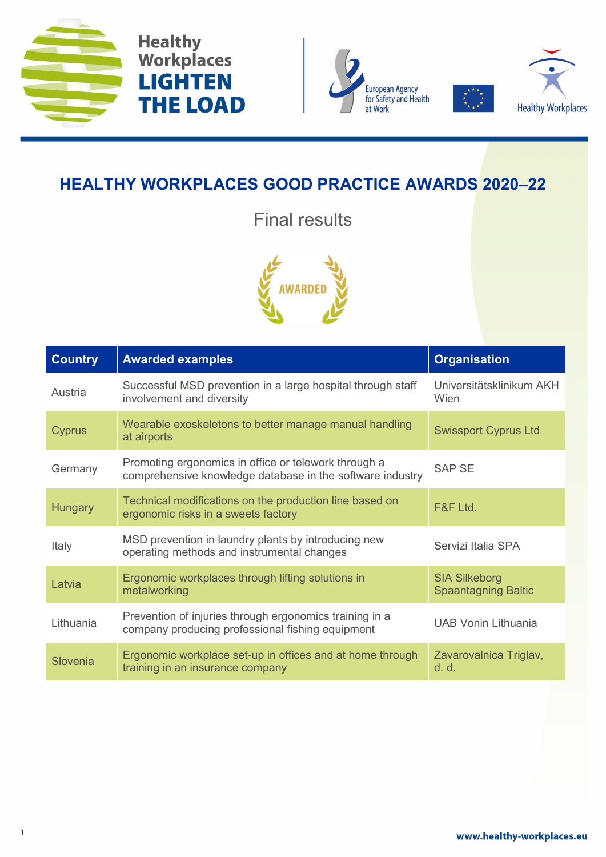





## **HEALTHY WORKPLACES GOOD PRACTICE AWARDS 2020–22**

Final results



| <b>Country</b> | <b>Awarded examples</b>                                                                                           | <b>Organisation</b>                                |
|----------------|-------------------------------------------------------------------------------------------------------------------|----------------------------------------------------|
| Austria        | Successful MSD prevention in a large hospital through staff<br>involvement and diversity                          | Universitätsklinikum AKH<br>Wien                   |
| <b>Cyprus</b>  | Wearable exoskeletons to better manage manual handling<br>at airports                                             | <b>Swissport Cyprus Ltd</b>                        |
| Germany        | Promoting ergonomics in office or telework through a<br>comprehensive knowledge database in the software industry | <b>SAP SE</b>                                      |
| <b>Hungary</b> | Technical modifications on the production line based on<br>ergonomic risks in a sweets factory                    | F&F Ltd.                                           |
| Italy          | MSD prevention in laundry plants by introducing new<br>operating methods and instrumental changes                 | Servizi Italia SPA                                 |
| Latvia         | Ergonomic workplaces through lifting solutions in<br>metalworking                                                 | <b>SIA Silkeborg</b><br><b>Spaantagning Baltic</b> |
| Lithuania      | Prevention of injuries through ergonomics training in a<br>company producing professional fishing equipment       | <b>UAB Vonin Lithuania</b>                         |
| Slovenia       | Ergonomic workplace set-up in offices and at home through<br>training in an insurance company                     | Zavarovalnica Triglav,<br>d. d.                    |